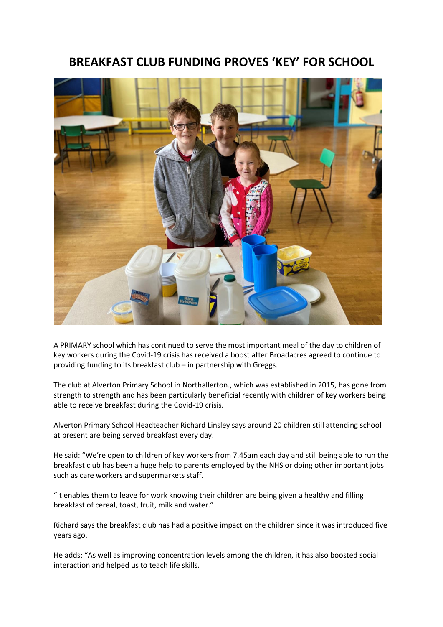## **BREAKFAST CLUB FUNDING PROVES 'KEY' FOR SCHOOL**



A PRIMARY school which has continued to serve the most important meal of the day to children of key workers during the Covid-19 crisis has received a boost after Broadacres agreed to continue to providing funding to its breakfast club – in partnership with Greggs.

The club at Alverton Primary School in Northallerton., which was established in 2015, has gone from strength to strength and has been particularly beneficial recently with children of key workers being able to receive breakfast during the Covid-19 crisis.

Alverton Primary School Headteacher Richard Linsley says around 20 children still attending school at present are being served breakfast every day.

He said: "We're open to children of key workers from 7.45am each day and still being able to run the breakfast club has been a huge help to parents employed by the NHS or doing other important jobs such as care workers and supermarkets staff.

"It enables them to leave for work knowing their children are being given a healthy and filling breakfast of cereal, toast, fruit, milk and water."

Richard says the breakfast club has had a positive impact on the children since it was introduced five years ago.

He adds: "As well as improving concentration levels among the children, it has also boosted social interaction and helped us to teach life skills.